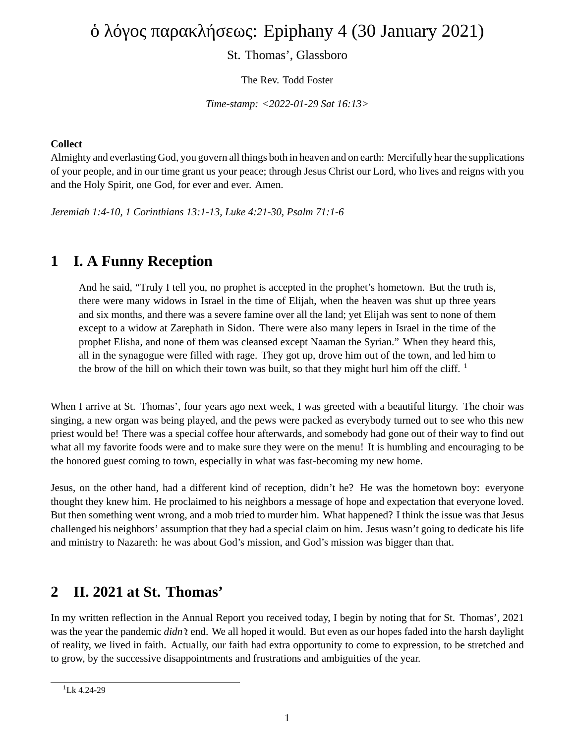# ὁ λόγος παρακλήσεως: Epiphany 4 (30 January 2021)

St. Thomas', Glassboro

The Rev. Todd Foster

*Time-stamp: <2022-01-29 Sat 16:13>*

#### **Collect**

Almighty and everlasting God, you govern all things both in heaven and on earth: Mercifully hear the supplications of your people, and in our time grant us your peace; through Jesus Christ our Lord, who lives and reigns with you and the Holy Spirit, one God, for ever and ever. Amen.

*Jeremiah 1:4-10, 1 Corinthians 13:1-13, Luke 4:21-30, Psalm 71:1-6*

## **1 I. A Funny Reception**

And he said, "Truly I tell you, no prophet is accepted in the prophet's hometown. But the truth is, there were many widows in Israel in the time of Elijah, when the heaven was shut up three years and six months, and there was a severe famine over all the land; yet Elijah was sent to none of them except to a widow at Zarephath in Sidon. There were also many lepers in Israel in the time of the prophet Elisha, and none of them was cleansed except Naaman the Syrian." When they heard this, all in the synagogue were filled with rage. They got up, drove him out of the town, and led him to the brow of the hill on which their town was built, so that they might hurl him off the cliff.  $<sup>1</sup>$ </sup>

When I arrive at St. Thomas', four years ago next week, I was greeted with a beautiful liturgy. The choir was singing, a new organ was being played, and the pews were packed as everybody turned out to see who this new priest would be! There was a special coffee hour afterwards, and somebody had gone out of their way to find out what all my favorite foods were and to make sure they were on the menu! It is humbling and encouraging to be the honored guest coming to town, especially in what was fast-becoming my new home.

Jesus, on the other hand, had a different kind of reception, didn't he? He was the hometown boy: everyone thought they knew him. He proclaimed to his neighbors a message of hope and expectation that everyone loved. But then something went wrong, and a mob tried to murder him. What happened? I think the issue was that Jesus challenged his neighbors' assumption that they had a special claim on him. Jesus wasn't going to dedicate his life and ministry to Nazareth: he was about God's mission, and God's mission was bigger than that.

#### **2 II. 2021 at St. Thomas'**

In my written reflection in the Annual Report you received today, I begin by noting that for St. Thomas', 2021 was the year the pandemic *didn't* end. We all hoped it would. But even as our hopes faded into the harsh daylight of reality, we lived in faith. Actually, our faith had extra opportunity to come to expression, to be stretched and to grow, by the successive disappointments and frustrations and ambiguities of the year.

 $1$ <sub>Lk</sub> 4.24-29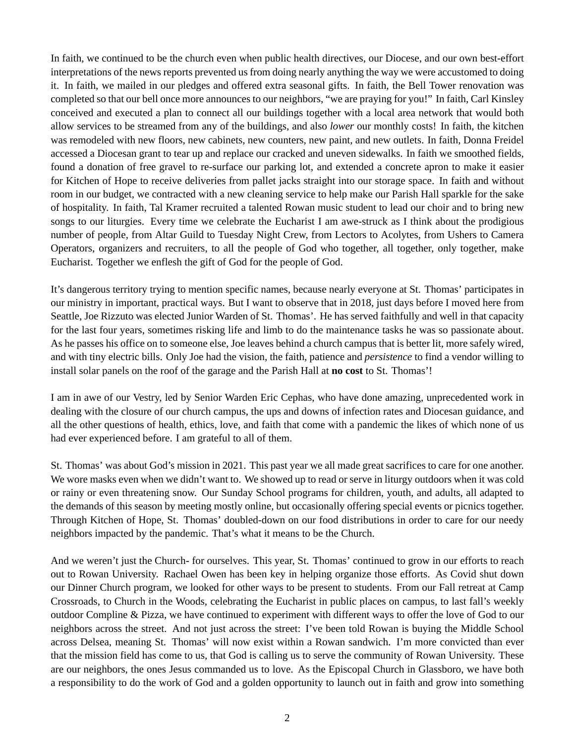In faith, we continued to be the church even when public health directives, our Diocese, and our own best-effort interpretations of the news reports prevented us from doing nearly anything the way we were accustomed to doing it. In faith, we mailed in our pledges and offered extra seasonal gifts. In faith, the Bell Tower renovation was completed so that our bell once more announces to our neighbors, "we are praying for you!" In faith, Carl Kinsley conceived and executed a plan to connect all our buildings together with a local area network that would both allow services to be streamed from any of the buildings, and also *lower* our monthly costs! In faith, the kitchen was remodeled with new floors, new cabinets, new counters, new paint, and new outlets. In faith, Donna Freidel accessed a Diocesan grant to tear up and replace our cracked and uneven sidewalks. In faith we smoothed fields, found a donation of free gravel to re-surface our parking lot, and extended a concrete apron to make it easier for Kitchen of Hope to receive deliveries from pallet jacks straight into our storage space. In faith and without room in our budget, we contracted with a new cleaning service to help make our Parish Hall sparkle for the sake of hospitality. In faith, Tal Kramer recruited a talented Rowan music student to lead our choir and to bring new songs to our liturgies. Every time we celebrate the Eucharist I am awe-struck as I think about the prodigious number of people, from Altar Guild to Tuesday Night Crew, from Lectors to Acolytes, from Ushers to Camera Operators, organizers and recruiters, to all the people of God who together, all together, only together, make Eucharist. Together we enflesh the gift of God for the people of God.

It's dangerous territory trying to mention specific names, because nearly everyone at St. Thomas' participates in our ministry in important, practical ways. But I want to observe that in 2018, just days before I moved here from Seattle, Joe Rizzuto was elected Junior Warden of St. Thomas'. He has served faithfully and well in that capacity for the last four years, sometimes risking life and limb to do the maintenance tasks he was so passionate about. As he passes his office on to someone else, Joe leaves behind a church campus that is better lit, more safely wired, and with tiny electric bills. Only Joe had the vision, the faith, patience and *persistence* to find a vendor willing to install solar panels on the roof of the garage and the Parish Hall at **no cost** to St. Thomas'!

I am in awe of our Vestry, led by Senior Warden Eric Cephas, who have done amazing, unprecedented work in dealing with the closure of our church campus, the ups and downs of infection rates and Diocesan guidance, and all the other questions of health, ethics, love, and faith that come with a pandemic the likes of which none of us had ever experienced before. I am grateful to all of them.

St. Thomas' was about God's mission in 2021. This past year we all made great sacrifices to care for one another. We wore masks even when we didn't want to. We showed up to read or serve in liturgy outdoors when it was cold or rainy or even threatening snow. Our Sunday School programs for children, youth, and adults, all adapted to the demands of this season by meeting mostly online, but occasionally offering special events or picnics together. Through Kitchen of Hope, St. Thomas' doubled-down on our food distributions in order to care for our needy neighbors impacted by the pandemic. That's what it means to be the Church.

And we weren't just the Church- for ourselves. This year, St. Thomas' continued to grow in our efforts to reach out to Rowan University. Rachael Owen has been key in helping organize those efforts. As Covid shut down our Dinner Church program, we looked for other ways to be present to students. From our Fall retreat at Camp Crossroads, to Church in the Woods, celebrating the Eucharist in public places on campus, to last fall's weekly outdoor Compline & Pizza, we have continued to experiment with different ways to offer the love of God to our neighbors across the street. And not just across the street: I've been told Rowan is buying the Middle School across Delsea, meaning St. Thomas' will now exist within a Rowan sandwich. I'm more convicted than ever that the mission field has come to us, that God is calling us to serve the community of Rowan University. These are our neighbors, the ones Jesus commanded us to love. As the Episcopal Church in Glassboro, we have both a responsibility to do the work of God and a golden opportunity to launch out in faith and grow into something